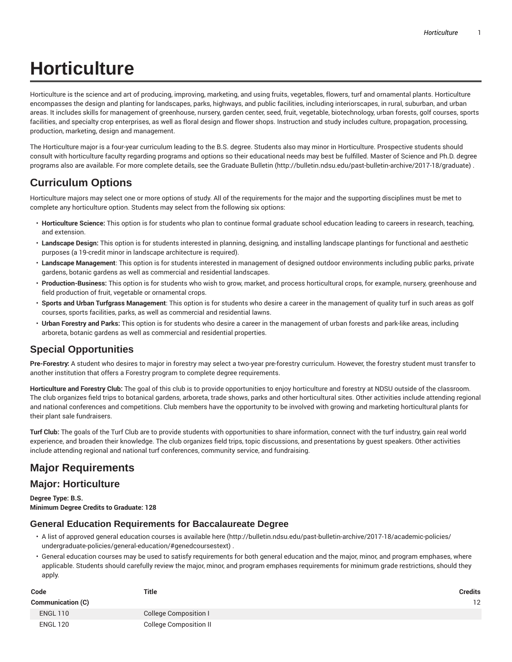Horticulture is the science and art of producing, improving, marketing, and using fruits, vegetables, flowers, turf and ornamental plants. Horticulture encompasses the design and planting for landscapes, parks, highways, and public facilities, including interiorscapes, in rural, suburban, and urban areas. It includes skills for management of greenhouse, nursery, garden center, seed, fruit, vegetable, biotechnology, urban forests, golf courses, sports facilities, and specialty crop enterprises, as well as floral design and flower shops. Instruction and study includes culture, propagation, processing, production, marketing, design and management.

The Horticulture major is a four-year curriculum leading to the B.S. degree. Students also may minor in Horticulture. Prospective students should consult with horticulture faculty regarding programs and options so their educational needs may best be fulfilled. Master of Science and Ph.D. degree programs also are available. For more complete details, see the Graduate Bulletin (http://bulletin.ndsu.edu/past-bulletin-archive/2017-18/graduate) .

### **Curriculum Options**

Horticulture majors may select one or more options of study. All of the requirements for the major and the supporting disciplines must be met to complete any horticulture option. Students may select from the following six options:

- **Horticulture Science:** This option is for students who plan to continue formal graduate school education leading to careers in research, teaching, and extension.
- **Landscape Design:** This option is for students interested in planning, designing, and installing landscape plantings for functional and aesthetic purposes (a 19-credit minor in landscape architecture is required).
- **Landscape Management**: This option is for students interested in management of designed outdoor environments including public parks, private gardens, botanic gardens as well as commercial and residential landscapes.
- **Production-Business:** This option is for students who wish to grow, market, and process horticultural crops, for example, nursery, greenhouse and field production of fruit, vegetable or ornamental crops.
- **Sports and Urban Turfgrass Management**: This option is for students who desire a career in the management of quality turf in such areas as golf courses, sports facilities, parks, as well as commercial and residential lawns.
- **Urban Forestry and Parks:** This option is for students who desire a career in the management of urban forests and park-like areas, including arboreta, botanic gardens as well as commercial and residential properties.

### **Special Opportunities**

**Pre-Forestry:** A student who desires to major in forestry may select a two-year pre-forestry curriculum. However, the forestry student must transfer to another institution that offers a Forestry program to complete degree requirements.

**Horticulture and Forestry Club:** The goal of this club is to provide opportunities to enjoy horticulture and forestry at NDSU outside of the classroom. The club organizes field trips to botanical gardens, arboreta, trade shows, parks and other horticultural sites. Other activities include attending regional and national conferences and competitions. Club members have the opportunity to be involved with growing and marketing horticultural plants for their plant sale fundraisers.

**Turf Club:** The goals of the Turf Club are to provide students with opportunities to share information, connect with the turf industry, gain real world experience, and broaden their knowledge. The club organizes field trips, topic discussions, and presentations by guest speakers. Other activities include attending regional and national turf conferences, community service, and fundraising.

### **Major Requirements**

### **Major: Horticulture**

**Degree Type: B.S. Minimum Degree Credits to Graduate: 128**

#### **General Education Requirements for Baccalaureate Degree**

- A list of approved general education courses is available here (http://bulletin.ndsu.edu/past-bulletin-archive/2017-18/academic-policies/ undergraduate-policies/general-education/#genedcoursestext) .
- General education courses may be used to satisfy requirements for both general education and the major, minor, and program emphases, where applicable. Students should carefully review the major, minor, and program emphases requirements for minimum grade restrictions, should they apply.

| Code                     | Title                         | <b>Credits</b> |
|--------------------------|-------------------------------|----------------|
| <b>Communication (C)</b> |                               | 12             |
| <b>ENGL 110</b>          | College Composition I         |                |
| <b>ENGL 120</b>          | <b>College Composition II</b> |                |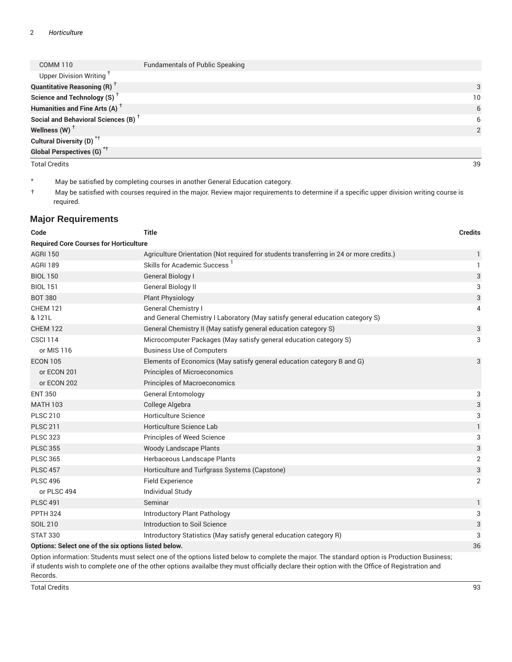| COMM 110                                        | <b>Fundamentals of Public Speaking</b> |                |
|-------------------------------------------------|----------------------------------------|----------------|
| Upper Division Writing <sup>+</sup>             |                                        |                |
| <b>Quantitative Reasoning (R)</b> <sup>†</sup>  |                                        | 3              |
| Science and Technology (S) <sup>+</sup>         |                                        | 10             |
| Humanities and Fine Arts (A) <sup>+</sup>       |                                        | 6              |
| Social and Behavioral Sciences (B) <sup>+</sup> |                                        | 6              |
| Wellness (W) $^{\dagger}$                       |                                        | $\mathfrak{p}$ |
| Cultural Diversity (D) <sup>*†</sup>            |                                        |                |
| <b>Global Perspectives (G)<sup>*†</sup></b>     |                                        |                |
| <b>Total Credits</b>                            |                                        | 39             |

\* May be satisfied by completing courses in another General Education category.

† May be satisfied with courses required in the major. Review major requirements to determine if a specific upper division writing course is required.

#### **Major Requirements**

| Code                                                 | <b>Title</b>                                                                                                                              | <b>Credits</b> |
|------------------------------------------------------|-------------------------------------------------------------------------------------------------------------------------------------------|----------------|
| <b>Required Core Courses for Horticulture</b>        |                                                                                                                                           |                |
| <b>AGRI 150</b>                                      | Agriculture Orientation (Not required for students transferring in 24 or more credits.)                                                   | 1              |
| <b>AGRI 189</b>                                      | Skills for Academic Success <sup>1</sup>                                                                                                  | 1              |
| <b>BIOL 150</b>                                      | General Biology I                                                                                                                         | 3              |
| <b>BIOL 151</b>                                      | General Biology II                                                                                                                        | 3              |
| <b>BOT 380</b>                                       | <b>Plant Physiology</b>                                                                                                                   | 3              |
| <b>CHEM 121</b><br>& 121L                            | General Chemistry I<br>and General Chemistry I Laboratory (May satisfy general education category S)                                      | 4              |
| <b>CHEM 122</b>                                      | General Chemistry II (May satisfy general education category S)                                                                           | 3              |
| <b>CSCI 114</b>                                      | Microcomputer Packages (May satisfy general education category S)                                                                         | 3              |
| or MIS 116                                           | <b>Business Use of Computers</b>                                                                                                          |                |
| <b>ECON 105</b>                                      | Elements of Economics (May satisfy general education category B and G)                                                                    | 3              |
| or ECON 201                                          | <b>Principles of Microeconomics</b>                                                                                                       |                |
| or ECON 202                                          | <b>Principles of Macroeconomics</b>                                                                                                       |                |
| <b>ENT 350</b>                                       | <b>General Entomology</b>                                                                                                                 | 3              |
| <b>MATH 103</b>                                      | College Algebra                                                                                                                           | 3              |
| <b>PLSC 210</b>                                      | <b>Horticulture Science</b>                                                                                                               | 3              |
| <b>PLSC 211</b>                                      | Horticulture Science Lab                                                                                                                  | $\mathbf{1}$   |
| <b>PLSC 323</b>                                      | Principles of Weed Science                                                                                                                | 3              |
| <b>PLSC 355</b>                                      | <b>Woody Landscape Plants</b>                                                                                                             | 3              |
| <b>PLSC 365</b>                                      | Herbaceous Landscape Plants                                                                                                               | 2              |
| <b>PLSC 457</b>                                      | Horticulture and Turfgrass Systems (Capstone)                                                                                             | 3              |
| <b>PLSC 496</b>                                      | <b>Field Experience</b>                                                                                                                   | 2              |
| or PLSC 494                                          | <b>Individual Study</b>                                                                                                                   |                |
| <b>PLSC 491</b>                                      | Seminar                                                                                                                                   | $\mathbf{1}$   |
| <b>PPTH 324</b>                                      | Introductory Plant Pathology                                                                                                              | 3              |
| <b>SOIL 210</b>                                      | Introduction to Soil Science                                                                                                              | 3              |
| <b>STAT 330</b>                                      | Introductory Statistics (May satisfy general education category R)                                                                        | 3              |
| Options: Select one of the six options listed below. |                                                                                                                                           | 36             |
|                                                      | Ontion information: Ctudente must coloct ano of the entigna listed below to complete the major. The standard entign is Dreduction Pueines |                |

Option information: Students must select one of the options listed below to complete the major. The standard option is Production Business; if students wish to complete one of the other options availalbe they must officially declare their option with the Office of Registration and Records.

Total Credits 93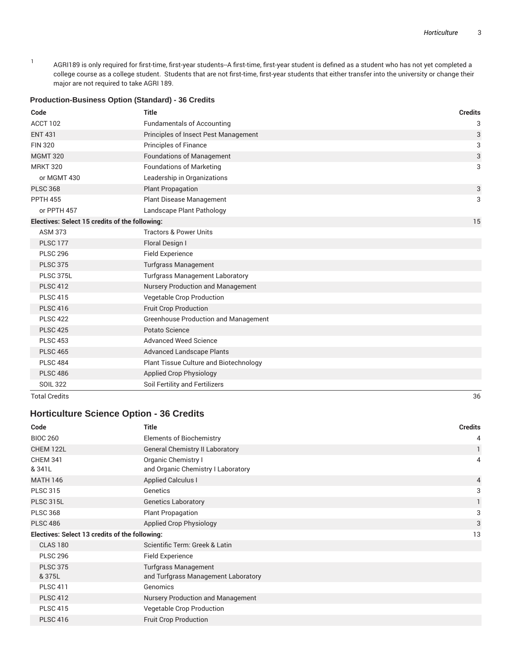1 AGRI189 is only required for first-time, first-year students-A first-time, first-year student is defined as a student who has not yet completed a college course as a college student. Students that are not first-time, first-year students that either transfer into the university or change their major are not required to take AGRI 189.

#### **Production-Business Option (Standard) - 36 Credits Code Title Credits** ACCT 102 **Fundamentals of Accounting 3 Accounting** 3 ENT 431 Principles of Insect Pest Management 3 FIN 320 **Principles of Finance** 3 **Principles of Finance** 3 MGMT 320 **Foundations of Management** 3 **Foundations** of Management 3 MRKT 320 **Foundations of Marketing 3 Foundations 3 3** or MGMT 430 Leadership in Organizations PLSC 368 **Plant Propagation** 3 **Plant Propagation** 3 PPTH 455 **Plant Disease Management** 3 3 or PPTH 457 Landscape Plant Pathology **Electives: Select 15 credits of the following:** 15 ASM 373 Tractors & Power Units PLSC 177 Floral Design I PLSC 296 Field Experience PLSC 375 Turfgrass Management PLSC 375L **Turfgrass Management Laboratory** PLSC 412 Nursery Production and Management PLSC 415 Vegetable Crop Production PLSC 416 Fruit Crop Production PLSC 422 Greenhouse Production and Management PLSC 425 Potato Science PLSC 453 Advanced Weed Science PLSC 465 Advanced Landscape Plants PLSC 484 PLSC 484 PLSC 486 Applied Crop Physiology SOIL 322 Soil Fertility and Fertilizers Total Credits 36

#### **Horticulture Science Option - 36 Credits**

| Code                                           | Title                                  | <b>Credits</b> |
|------------------------------------------------|----------------------------------------|----------------|
| <b>BIOC 260</b>                                | Elements of Biochemistry               | 4              |
| CHEM 122L                                      | <b>General Chemistry II Laboratory</b> |                |
| <b>CHEM 341</b>                                | Organic Chemistry I                    | 4              |
| & 341L                                         | and Organic Chemistry I Laboratory     |                |
| <b>MATH 146</b>                                | <b>Applied Calculus I</b>              | $\overline{4}$ |
| <b>PLSC 315</b>                                | Genetics                               | 3              |
| <b>PLSC 315L</b>                               | <b>Genetics Laboratory</b>             |                |
| <b>PLSC 368</b>                                | <b>Plant Propagation</b>               | 3              |
| <b>PLSC 486</b>                                | <b>Applied Crop Physiology</b>         | 3              |
| Electives: Select 13 credits of the following: |                                        | 13             |
| <b>CLAS 180</b>                                | Scientific Term: Greek & Latin         |                |
| <b>PLSC 296</b>                                | Field Experience                       |                |
| <b>PLSC 375</b>                                | <b>Turfgrass Management</b>            |                |
| & 375L                                         | and Turfgrass Management Laboratory    |                |
| <b>PLSC 411</b>                                | Genomics                               |                |
| <b>PLSC 412</b>                                | Nursery Production and Management      |                |
| <b>PLSC 415</b>                                | Vegetable Crop Production              |                |
| <b>PLSC 416</b>                                | <b>Fruit Crop Production</b>           |                |
|                                                |                                        |                |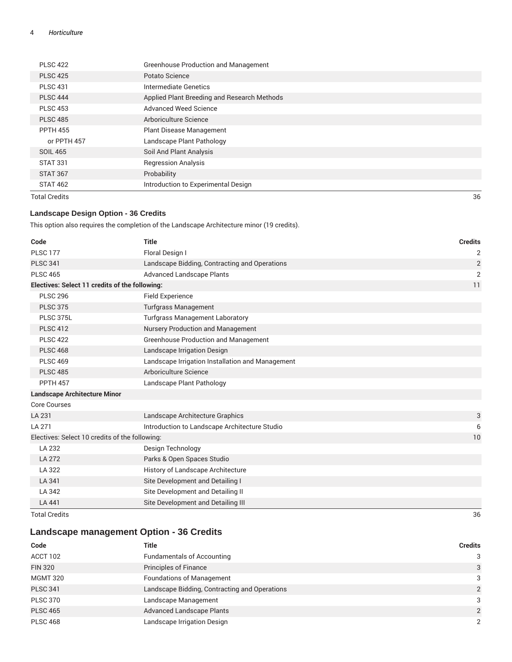| <b>PLSC 422</b> | <b>Greenhouse Production and Management</b> |
|-----------------|---------------------------------------------|
| <b>PLSC 425</b> | Potato Science                              |
| <b>PLSC 431</b> | Intermediate Genetics                       |
| <b>PLSC 444</b> | Applied Plant Breeding and Research Methods |
| <b>PLSC 453</b> | Advanced Weed Science                       |
| <b>PLSC 485</b> | Arboriculture Science                       |
| <b>PPTH 455</b> | <b>Plant Disease Management</b>             |
| or PPTH 457     | Landscape Plant Pathology                   |
| SOIL 465        | Soil And Plant Analysis                     |
| STAT 331        | <b>Regression Analysis</b>                  |
| STAT 367        | Probability                                 |
| <b>STAT 462</b> | Introduction to Experimental Design         |
|                 |                                             |

Total Credits 36

#### **Landscape Design Option - 36 Credits**

This option also requires the completion of the Landscape Architecture minor (19 credits).

| Code                                           | <b>Title</b>                                     | <b>Credits</b> |
|------------------------------------------------|--------------------------------------------------|----------------|
| <b>PLSC 177</b>                                | Floral Design I                                  | $\overline{2}$ |
| <b>PLSC 341</b>                                | Landscape Bidding, Contracting and Operations    | $\overline{2}$ |
| <b>PLSC 465</b>                                | <b>Advanced Landscape Plants</b>                 | $\overline{2}$ |
| Electives: Select 11 credits of the following: |                                                  | 11             |
| <b>PLSC 296</b>                                | <b>Field Experience</b>                          |                |
| <b>PLSC 375</b>                                | <b>Turfgrass Management</b>                      |                |
| PLSC 375L                                      | <b>Turfgrass Management Laboratory</b>           |                |
| <b>PLSC 412</b>                                | Nursery Production and Management                |                |
| <b>PLSC 422</b>                                | <b>Greenhouse Production and Management</b>      |                |
| <b>PLSC 468</b>                                | Landscape Irrigation Design                      |                |
| <b>PLSC 469</b>                                | Landscape Irrigation Installation and Management |                |
| <b>PLSC 485</b>                                | Arboriculture Science                            |                |
| <b>PPTH 457</b>                                | Landscape Plant Pathology                        |                |
| <b>Landscape Architecture Minor</b>            |                                                  |                |
| <b>Core Courses</b>                            |                                                  |                |
| LA 231                                         | Landscape Architecture Graphics                  | 3              |
| LA 271                                         | Introduction to Landscape Architecture Studio    | 6              |
| Electives: Select 10 credits of the following: |                                                  | 10             |
| LA 232                                         | Design Technology                                |                |
| LA 272                                         | Parks & Open Spaces Studio                       |                |
| LA 322                                         | History of Landscape Architecture                |                |
| LA 341                                         | Site Development and Detailing I                 |                |
| LA 342                                         | Site Development and Detailing II                |                |
| LA 441                                         | Site Development and Detailing III               |                |
| <b>Total Credits</b>                           |                                                  | 36             |

### **Landscape management Option - 36 Credits**

| Code            | Title                                         | <b>Credits</b> |
|-----------------|-----------------------------------------------|----------------|
| ACCT 102        | <b>Fundamentals of Accounting</b>             | 3              |
| <b>FIN 320</b>  | <b>Principles of Finance</b>                  | 3              |
| <b>MGMT 320</b> | <b>Foundations of Management</b>              | 3              |
| <b>PLSC 341</b> | Landscape Bidding, Contracting and Operations | $\overline{2}$ |
| <b>PLSC 370</b> | Landscape Management                          | 3              |
| <b>PLSC 465</b> | <b>Advanced Landscape Plants</b>              | $\overline{2}$ |
| <b>PLSC 468</b> | Landscape Irrigation Design                   | 2              |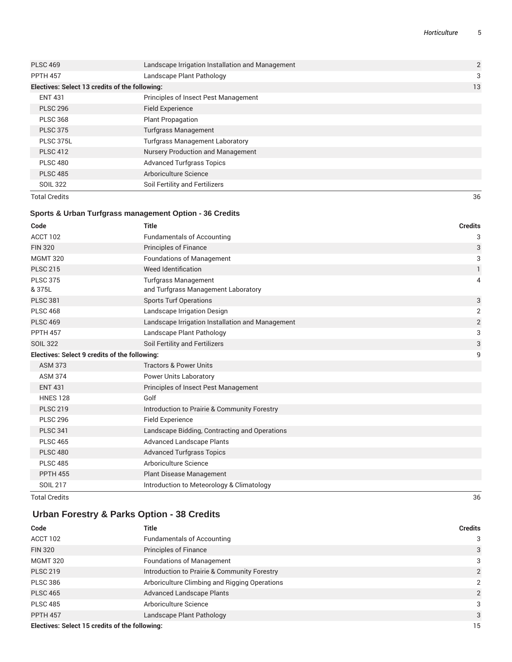| <b>Total Credits</b>                           |                                                  | 36             |
|------------------------------------------------|--------------------------------------------------|----------------|
| <b>SOIL 322</b>                                | Soil Fertility and Fertilizers                   |                |
| <b>PLSC 485</b>                                | Arboriculture Science                            |                |
| <b>PLSC 480</b>                                | <b>Advanced Turfgrass Topics</b>                 |                |
| <b>PLSC 412</b>                                | Nursery Production and Management                |                |
| PLSC 375L                                      | <b>Turfgrass Management Laboratory</b>           |                |
| <b>PLSC 375</b>                                | <b>Turfgrass Management</b>                      |                |
| <b>PLSC 368</b>                                | <b>Plant Propagation</b>                         |                |
| <b>PLSC 296</b>                                | <b>Field Experience</b>                          |                |
| <b>ENT 431</b>                                 | Principles of Insect Pest Management             |                |
| Electives: Select 13 credits of the following: |                                                  | 13             |
| <b>PPTH 457</b>                                | Landscape Plant Pathology                        | 3              |
| <b>PLSC 469</b>                                | Landscape Irrigation Installation and Management | $\overline{2}$ |
|                                                |                                                  |                |

#### **Sports & Urban Turfgrass management Option - 36 Credits**

| Code                                                 | <b>Title</b>                                                       | <b>Credits</b> |
|------------------------------------------------------|--------------------------------------------------------------------|----------------|
| ACCT 102                                             | <b>Fundamentals of Accounting</b>                                  | 3              |
| <b>FIN 320</b>                                       | <b>Principles of Finance</b>                                       | 3              |
| <b>MGMT 320</b>                                      | <b>Foundations of Management</b>                                   | 3              |
| <b>PLSC 215</b>                                      | Weed Identification                                                | 1              |
| <b>PLSC 375</b><br>& 375L                            | <b>Turfgrass Management</b><br>and Turfgrass Management Laboratory | 4              |
| <b>PLSC 381</b>                                      | <b>Sports Turf Operations</b>                                      | 3              |
| <b>PLSC 468</b>                                      | Landscape Irrigation Design                                        | $\overline{2}$ |
| <b>PLSC 469</b>                                      | Landscape Irrigation Installation and Management                   | $\overline{2}$ |
| <b>PPTH 457</b>                                      | Landscape Plant Pathology                                          | 3              |
| <b>SOIL 322</b>                                      | Soil Fertility and Fertilizers                                     | 3              |
| <b>Electives: Select 9 credits of the following:</b> |                                                                    | 9              |
| <b>ASM 373</b>                                       | <b>Tractors &amp; Power Units</b>                                  |                |
| <b>ASM 374</b>                                       | <b>Power Units Laboratory</b>                                      |                |
| <b>ENT 431</b>                                       | Principles of Insect Pest Management                               |                |
| <b>HNES 128</b>                                      | Golf                                                               |                |
| <b>PLSC 219</b>                                      | Introduction to Prairie & Community Forestry                       |                |
| <b>PLSC 296</b>                                      | <b>Field Experience</b>                                            |                |
| <b>PLSC 341</b>                                      | Landscape Bidding, Contracting and Operations                      |                |
| <b>PLSC 465</b>                                      | <b>Advanced Landscape Plants</b>                                   |                |
| <b>PLSC 480</b>                                      | <b>Advanced Turfgrass Topics</b>                                   |                |
| <b>PLSC 485</b>                                      | Arboriculture Science                                              |                |
| <b>PPTH 455</b>                                      | Plant Disease Management                                           |                |
| <b>SOIL 217</b>                                      | Introduction to Meteorology & Climatology                          |                |

Total Credits 36

### **Urban Forestry & Parks Option - 38 Credits**

| Code                                           | Title                                         | <b>Credits</b> |
|------------------------------------------------|-----------------------------------------------|----------------|
| ACCT 102                                       | <b>Fundamentals of Accounting</b>             | 3              |
| <b>FIN 320</b>                                 | <b>Principles of Finance</b>                  | 3              |
| <b>MGMT 320</b>                                | <b>Foundations of Management</b>              | 3              |
| <b>PLSC 219</b>                                | Introduction to Prairie & Community Forestry  | 2              |
| <b>PLSC 386</b>                                | Arboriculture Climbing and Rigging Operations | 2              |
| <b>PLSC 465</b>                                | <b>Advanced Landscape Plants</b>              | 2              |
| <b>PLSC 485</b>                                | Arboriculture Science                         | 3              |
| <b>PPTH 457</b>                                | Landscape Plant Pathology                     | 3              |
| Electives: Select 15 credits of the following: |                                               | 15             |